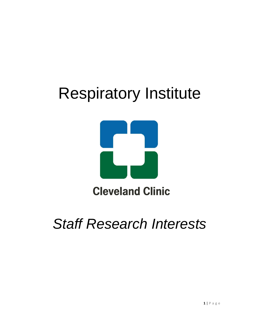# Respiratory Institute



# *Staff Research Interests*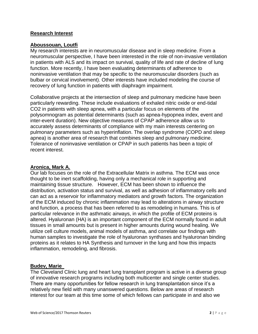# **Research Interest**

# **Aboussouan, Loutfi**

My research interests are in neuromuscular disease and in sleep medicine. From a neuromuscular perspective, I have been interested in the role of non-invasive ventilation in patients with ALS and its impact on survival, quality of life and rate of decline of lung function. More recently, I have been evaluating determinants of adherence to noninvasive ventilation that may be specific to the neuromuscular disorders (such as bulbar or cervical involvement). Other interests have included modeling the course of recovery of lung function in patients with diaphragm impairment.

Collaborative projects at the intersection of sleep and pulmonary medicine have been particularly rewarding. These include evaluations of exhaled nitric oxide or end-tidal CO2 in patients with sleep apnea, with a particular focus on elements of the polysomnogram as potential determinants (such as apnea-hypopnea index, event and inter-event duration). New objective measures of CPAP adherence allow us to accurately assess determinants of compliance with my main interests centering on pulmonary parameters such as hyperinflation. The overlap syndrome (COPD and sleep apnea) is another area of research that combines sleep and pulmonary medicine. Tolerance of noninvasive ventilation or CPAP in such patients has been a topic of recent interest.

# **Aronica, Mark A.**

Our lab focuses on the role of the Extracellular Matrix in asthma. The ECM was once thought to be inert scaffolding, having only a mechanical role in supporting and maintaining tissue structure. However, ECM has been shown to influence the distribution, activation status and survival, as well as adhesion of inflammatory cells and can act as a reservoir for inflammatory mediators and growth factors. The organization of the ECM induced by chronic inflammation may lead to alterations in airway structure and function, a process that has been referred to as remodeling in humans. This is of particular relevance in the asthmatic airways, in which the profile of ECM proteins is altered. Hyaluronan (HA) is an important component of the ECM normally found in adult tissues in small amounts but is present in higher amounts during wound healing. We utilize cell culture models, animal models of asthma, and correlate our findings with human samples to investigate the role of hyaluronan synthases and hyaluronan binding proteins as it relates to HA Synthesis and turnover in the lung and how this impacts inflammation, remodeling, and fibrosis.

# **Budev, Marie**

The Cleveland Clinic lung and heart lung transplant program is active in a diverse group of innovative research programs including both multicenter and single center studies. There are many opportunities for fellow research in lung transplantation since it's a relatively new field with many unanswered questions. Below are areas of research interest for our team at this time some of which fellows can participate in and also we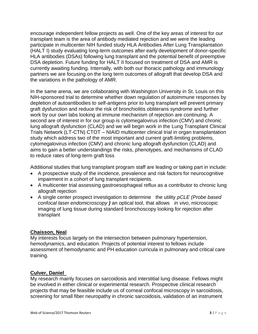encourage independent fellow projects as well. One of the key areas of interest for our transplant team is the area of antibody mediated rejection and we were the leading participate in multicenter NIH funded study HLA Antibodies After Lung Transplantation (HALT I) study evaluating long-term outcomes after early development of donor-specific HLA antibodies (DSAs) following lung transplant and the potential benefit of preemptive DSA depletion. Future funding for HALT II focused on treatment of DSA and AMR is currently awaiting funding. Internally, with both our thoracic pathology and immunology partners we are focusing on the long term outcomes of allograft that develop DSA and the variations in the pathology of AMR.

In the same arena, we are collaborating with Washington University in St. Louis on this NIH-sponsored trial to determine whether down regulation of autoimmune responses by depletion of autoantibodies to self-antigens prior to lung transplant will prevent primary graft dysfunction and reduce the risk of bronchiolitis obliterans syndrome and further work by our own labs looking at immune mechanism of rejection are continuing. A second are of interest in for our group is cytomegalovirus infection (CMV) and chronic lung allograft dysfunction (CLAD) and we will begin work in the Lung Transplant Clinical Trials Network (LT-CTN) CTOT – NIAID multicenter clinical trial in organ transplantation study which address two of the most important and current graft-limiting problems, cytomegalovirus infection (CMV) and chronic lung allograft dysfunction (CLAD) and aims to gain a better understandings the risks, phenotypes, and mechanisms of CLAD to reduce rates of long-term graft loss

Additional studies that lung transplant program staff are leading or taking part in include:

- A prospective study of the incidence, prevalence and risk factors for neurocognitive impairment in a cohort of lung transplant recipients.
- A multicenter trial assessing gastroesophageal reflux as a contributor to chronic lung allograft rejection
- A single center prospect investigation to determine the utility *pCLE (Probe based confocal laser endomicroscopy )* an optical tool, that allows *in vivo*, microscopic imaging of lung tissue during standard bronchoscopy looking for rejection after transplant

# **Chaisson, Neal**

My interests focus largely on the intersection between pulmonary hypertension, hemodynamics, and education. Projects of potential interest to fellows include assessment of hemodynamic and PH education curricula in pulmonary and critical care training.

# **Culver, Daniel**

My research mainly focuses on sarcoidosis and interstitial lung disease. Fellows might be involved in either clinical or experimental research. Prospective clinical research projects that may be feasible include us of corneal confocal microscopy in sarcoidosis, screening for small fiber neuropathy in chronic sarcoidosis, validation of an instrument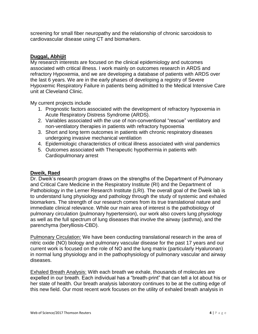screening for small fiber neuropathy and the relationship of chronic sarcoidosis to cardiovascular disease using CT and biomarkers.

# **Duggal, Abhijit**

My research interests are focused on the clinical epidemiology and outcomes associated with critical illness. I work mainly on outcomes research in ARDS and refractory Hypoxemia, and we are developing a database of patients with ARDS over the last 6 years. We are in the early phases of developing a registry of Severe Hypoxemic Respiratory Failure in patients being admitted to the Medical Intensive Care unit at Cleveland Clinic.

My current projects include

- 1. Prognostic factors associated with the development of refractory hypoxemia in Acute Respiratory Distress Syndrome (ARDS).
- 2. Variables associated with the use of non-conventional "rescue" ventilatory and non-ventilatory therapies in patients with refractory hypoxemia
- 3. Short and long term outcomes in patients with chronic respiratory diseases undergoing invasive mechanical ventilation
- 4. Epidemiologic characteristics of critical illness associated with viral pandemics
- 5. Outcomes associated with Therapeutic hypothermia in patients with Cardiopulmonary arrest

# **Dweik, Raed**

Dr. Dweik's research program draws on the strengths of the Department of Pulmonary and Critical Care Medicine in the Respiratory Institute (RI) and the Department of Pathobiology in the Lerner Research Institute (LRI). The overall goal of the Dweik lab is to understand lung physiology and pathology through the study of systemic and exhaled biomarkers. The strength of our research comes from its true translational nature and immediate clinical relevance. While our main area of interest is the pathobiology of pulmonary circulation (pulmonary hypertension), our work also covers lung physiology as well as the full spectrum of lung diseases that involve the airway (asthma), and the parenchyma (berylliosis-CBD).

Pulmonary Circulation: We have been conducting translational research in the area of nitric oxide (NO) biology and pulmonary vascular disease for the past 17 years and our current work is focused on the role of NO and the lung matrix (particularly Hyaluronan) in normal lung physiology and in the pathophysiology of pulmonary vascular and airway diseases.

Exhaled Breath Analysis: With each breath we exhale, thousands of molecules are expelled in our breath. Each individual has a "breath-print" that can tell a lot about his or her state of health. Our breath analysis laboratory continues to be at the cutting edge of this new field. Our most recent work focuses on the utility of exhaled breath analysis in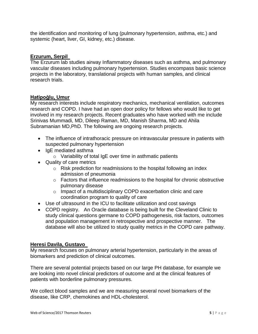the identification and monitoring of lung (pulmonary hypertension, asthma, etc.) and systemic (heart, liver, GI, kidney, etc.) disease.

# **Erzurum, Serpil**

The Erzurum lab studies airway Inflammatory diseases such as asthma, and pulmonary vascular diseases including pulmonary hypertension. Studies encompass basic science projects in the laboratory, translational projects with human samples, and clinical research trials.

# **Hatipoğlu, Umur**

My research interests include respiratory mechanics, mechanical ventilation, outcomes research and COPD. I have had an open door policy for fellows who would like to get involved in my research projects. Recent graduates who have worked with me include Srinivas Mummadi, MD, Dileep Raman, MD, Manish Sharma, MD and Ahila Subramanian MD,PhD. The following are ongoing research projects.

- The influence of intrathoracic pressure on intravascular pressure in patients with suspected pulmonary hypertension
- IgE mediated asthma
	- o Variability of total IgE over time in asthmatic patients
- Quality of care metrics
	- o Risk prediction for readmissions to the hospital following an index admission of pneumonia
	- o Factors that influence readmissions to the hospital for chronic obstructive pulmonary disease
	- o Impact of a multidisciplinary COPD exacerbation clinic and care coordination program to quality of care
- Use of ultrasound in the ICU to facilitate utilization and cost savings
- COPD registry. An Oracle database is being built for the Cleveland Clinic to study clinical questions germane to COPD pathogenesis, risk factors, outcomes and population management in retrospective and prospective manner. The database will also be utilized to study quality metrics in the COPD care pathway.

# **Heresi Davila, Gustavo**

My research focuses on pulmonary arterial hypertension, particularly in the areas of biomarkers and prediction of clinical outcomes.

There are several potential projects based on our large PH database, for example we are looking into novel clinical predictors of outcome and at the clinical features of patients with borderline pulmonary pressures.

We collect blood samples and we are measuring several novel biomarkers of the disease, like CRP, chemokines and HDL-cholesterol.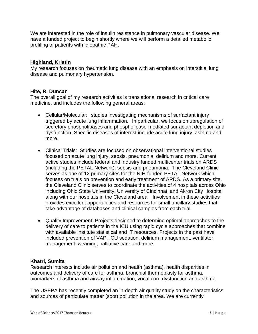We are interested in the role of insulin resistance in pulmonary vascular disease. We have a funded project to begin shortly where we will perform a detailed metabolic profiling of patients with idiopathic PAH.

# **Highland, Kristin**

My research focuses on rheumatic lung disease with an emphasis on interstitial lung disease and pulmonary hypertension.

# **Hite, R. Duncan**

The overall goal of my research activities is translational research in critical care medicine, and includes the following general areas:

- Cellular/Molecular: studies investigating mechanisms of surfactant injury triggered by acute lung inflammation. In particular, we focus on upregulation of secretory phospholipases and phospholipase-mediated surfactant depletion and dysfunction. Specific diseases of interest include acute lung injury, asthma and more.
- Clinical Trials: Studies are focused on observational interventional studies focused on acute lung injury, sepsis, pneumonia, delirium and more. Current active studies include federal and industry funded multicenter trials on ARDS (including the PETAL Network), sepsis and pneumonia. The Cleveland Clinic serves as one of 12 primary sites for the NIH-funded PETAL Network which focuses on trials on prevention and early treatment of ARDS. As a primary site, the Cleveland Clinic serves to coordinate the activities of 4 hospitals across Ohio including Ohio State University, University of Cincinnati and Akron City Hospital along with our hospitals in the Cleveland area. Involvement in these activities provides excellent opportunities and resources for small ancillary studies that take advantage of databases and clinical samples from each trial.
- Quality Improvement: Projects designed to determine optimal approaches to the delivery of care to patients in the ICU using rapid cycle approaches that combine with available Institute statistical and IT resources. Projects in the past have included prevention of VAP, ICU sedation, delirium management, ventilator management, weaning, palliative care and more.

# **Khatri, Sumita**

Research interests include air pollution and health (asthma), health disparities in outcomes and delivery of care for asthma, bronchial thermoplasty for asthma, biomarkers of asthma and airway inflammation, vocal cord dysfunction and asthma.

The USEPA has recently completed an in-depth air quality study on the characteristics and sources of particulate matter (soot) pollution in the area. We are currently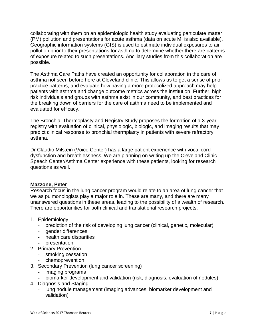collaborating with them on an epidemiologic health study evaluating particulate matter (PM) pollution and presentations for acute asthma (data on acute MI is also available). Geographic information systems (GIS) is used to estimate individual exposures to air pollution prior to their presentations for asthma to determine whether there are patterns of exposure related to such presentations. Ancillary studies from this collaboration are possible.

The Asthma Care Paths have created an opportunity for collaboration in the care of asthma not seen before here at Cleveland clinic. This allows us to get a sense of prior practice patterns, and evaluate how having a more protocolized approach may help patients with asthma and change outcome metrics across the institution. Further, high risk individuals and groups with asthma exist in our community, and best practices for the breaking down of barriers for the care of asthma need to be implemented and evaluated for efficacy.

The Bronchial Thermoplasty and Registry Study proposes the formation of a 3-year registry with evaluation of clinical, physiologic, biologic, and imaging results that may predict clinical response to bronchial thermplasty in patients with severe refractory asthma.

Dr Claudio Milstein (Voice Center) has a large patient experience with vocal cord dysfunction and breathlessness. We are planning on writing up the Cleveland Clinic Speech Center/Asthma Center experience with these patients, looking for research questions as well.

# **Mazzone, Peter**

Research focus in the lung cancer program would relate to an area of lung cancer that we as pulmonologists play a major role in. These are many, and there are many unanswered questions in these areas, leading to the possibility of a wealth of research. There are opportunities for both clinical and translational research projects.

- 1. Epidemiology
	- prediction of the risk of developing lung cancer (clinical, genetic, molecular)
	- gender differences
	- health care disparities
	- presentation
- 2. Primary Prevention
	- smoking cessation
	- chemoprevention
- 3. Secondary Prevention (lung cancer screening)
	- imaging programs
	- biomarker development and validation (risk, diagnosis, evaluation of nodules)
- 4. Diagnosis and Staging
	- lung nodule management (imaging advances, biomarker development and validation)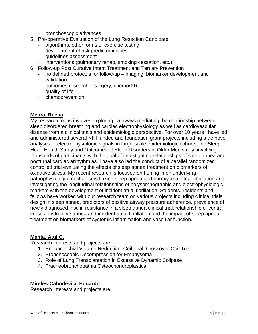- bronchoscopic advances
- 5. Pre-operative Evaluation of the Lung Resection Candidate
	- algorithms, other forms of exercise testing
	- development of risk predictor indices
	- guidelines assessment
	- interventions (pulmonary rehab, smoking cessation, etc.)
- 6. Follow-up Post Curative Intent Treatment and Tertiary Prevention
	- no defined protocols for follow-up imaging, biomarker development and validation
	- outcomes research surgery, chemo/XRT
	- quality of life
	- chemoprevention

# **Mehra, Reena**

My research focus involves exploring pathways mediating the relationship between sleep disordered breathing and cardiac electrophysiology as well as cardiovascular disease from a clinical trials and epidemiologic perspective. For over 10 years I have led and administered several NIH funded and foundation grant projects including a de novo analyses of electrophysiologic signals in large-scale epidemiologic cohorts, the Sleep Heart Health Study and Outcomes of Sleep Disorders in Older Men study, involving thousands of participants with the goal of investigating relationships of sleep apnea and nocturnal cardiac arrhythmias. I have also led the conduct of a parallel randomized controlled trial evaluating the effects of sleep apnea treatment on biomarkers of oxidative stress. My recent research is focused on honing in on underlying pathophysiologic mechanisms linking sleep apnea and paroxysmal atrial fibrillation and investigating the longitudinal relationships of polysomnographic and electrophysiologic markers with the development of incident atrial fibrillation. Students, residents and fellows have worked with our research team on various projects including clinical trials design in sleep apnea, predictors of positive airway pressure adherence, prevalence of newly diagnosed insulin resistance in a sleep apnea clinical trial, relationship of central versus obstructive apnea and incident atrial fibrillation and the impact of sleep apnea treatment on biomarkers of systemic inflammation and vascular function.

# **Mehta, Atul C.**

Research interests and projects are:

- 1. Endobronchial Volume Reduction: Coil Trial, Crossover-Coil Trial
- 2. Bronchoscopic Decompression for Emphysema
- 3. Role of Lung Transplantation in Excessive Dynamic Collpase
- 4. Tracheobronchopathia Osteochondroplastica

# **Mireles-Cabodevila, Eduardo**

Research interests and projects are: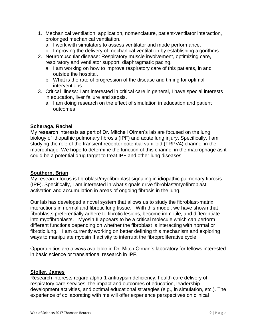- 1. Mechanical ventilation: application, nomenclature, patient-ventilator interaction, prolonged mechanical ventilation.
	- a. I work with simulators to assess ventilator and mode performance.
	- b. Improving the delivery of mechanical ventilation by establishing algorithms
- 2. Neuromuscular disease: Respiratory muscle involvement, optimizing care, respiratory and ventilator support, diaphragmatic pacing.
	- a. I am working on how to improve respiratory care of this patients, in and outside the hospital.
	- b. What is the rate of progression of the disease and timing for optimal interventions
- 3. Critical Illness: I am interested in critical care in general, I have special interests in education, liver failure and sepsis.
	- a. I am doing research on the effect of simulation in education and patient outcomes

# **Scheraga, Rachel**

My research interests as part of Dr. Mitchell Olman's lab are focused on the lung biology of idiopathic pulmonary fibrosis (IPF) and acute lung injury. Specifically, I am studying the role of the transient receptor potential vanilloid (TRPV4) channel in the macrophage. We hope to determine the function of this channel in the macrophage as it could be a potential drug target to treat IPF and other lung diseases.

# **Southern, Brian**

My research focus is fibroblast/myofibroblast signaling in idiopathic pulmonary fibrosis (IPF). Specifically, I am interested in what signals drive fibroblast/myofibroblast activation and accumulation in areas of ongoing fibrosis in the lung.

Our lab has developed a novel system that allows us to study the fibroblast-matrix interactions in normal and fibrotic lung tissue. With this model, we have shown that fibroblasts preferentially adhere to fibrotic lesions, become immotile, and differentiate into myofibroblasts. Myosin II appears to be a critical molecule which can perform different functions depending on whether the fibroblast is interacting with normal or fibrotic lung. I am currently working on better defining this mechanism and exploring ways to manipulate myosin II activity to interrupt the fibroproliferative cycle.

Opportunities are always available in Dr. Mitch Olman's laboratory for fellows interested in basic science or translational research in IPF.

# **Stoller, James**

Research interests regard alpha-1 antitrypsin deficiency, health care delivery of respiratory care services, the impact and outcomes of education, leadership development activities, and optimal educational strategies (e.g., in simulation, etc.). The experience of collaborating with me will offer experience perspectives on clinical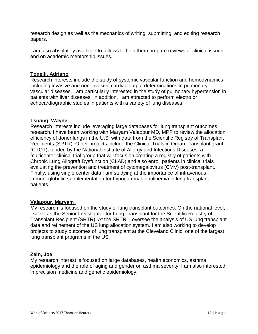research design as well as the mechanics of writing, submitting, and editing research papers.

I am also absolutely available to fellows to help them prepare reviews of clinical issues and on academic mentorship issues.

# **Tonelli, Adriano**

Research interests include the study of systemic vascular function and hemodynamics including invasive and non-invasive cardiac output determinations in pulmonary vascular diseases. I am particularly interested in the study of pulmonary hypertension in patients with liver diseases. In addition, I am attracted to perform electro or echocardiographic studies in patients with a variety of lung diseases.

# **Tsuang, Wayne**

Research interests include leveraging large databases for lung transplant outcomes research. I have been working with Maryam Valapour MD, MPP to review the allocation efficiency of donor lungs in the U.S. with data from the Scientific Registry of Transplant Recipients (SRTR). Other projects include the Clinical Trials in Organ Transplant grant (CTOT), funded by the National Institute of Allergy and Infectious Diseases, a multicenter clinical trial group that will focus on creating a registry of patients with Chronic Lung Allograft Dysfunction (CLAD) and also enroll patients in clinical trials evaluating the prevention and treatment of cytomegalovirus (CMV) post-transplant. Finally, using single center data I am studying at the importance of intravenous immunoglobulin supplementation for hypogammaglobulinemia in lung transplant patients.

# **Valapour, Maryam**

My research is focused on the study of lung transplant outcomes. On the national level, I serve as the Senior Investigator for Lung Transplant for the Scientific Registry of Transplant Recipient (SRTR). At the SRTR, I oversee the analysis of US lung transplant data and refinement of the US lung allocation system. I am also working to develop projects to study outcomes of lung transplant at the Cleveland Clinic, one of the largest lung transplant programs in the US.

# **Zein, Joe**

My research interest is focused on large databases, health economics, asthma epidemiology and the role of aging and gender on asthma severity. I am also interested in precision medicine and genetic epidemiology.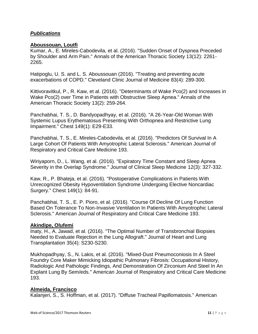# *Publications*

# **Aboussouan, Loutfi**

Kumar, A., E. Mireles-Cabodevila, et al. (2016). "Sudden Onset of Dyspnea Preceded by Shoulder and Arm Pain." Annals of the American Thoracic Society 13(12): 2261- 2265.

Hatipoglu, U. S. and L. S. Aboussouan (2016). "Treating and preventing acute exacerbations of COPD." Cleveland Clinic Journal of Medicine 83(4): 289-300.

Kittivoravitkul, P., R. Kaw, et al. (2016). "Determinants of Wake Pco(2) and Increases in Wake Pco(2) over Time in Patients with Obstructive Sleep Apnea." Annals of the American Thoracic Society 13(2): 259-264.

Panchabhai, T. S., D. Bandyopadhyay, et al. (2016). "A 26-Year-Old Woman With Systemic Lupus Erythematosus Presenting With Orthopnea and Restrictive Lung Impairment." Chest 149(1): E29-E33.

Panchabhai, T. S., E. Mireles-Cabodevila, et al. (2016). "Predictors Of Survival In A Large Cohort Of Patients With Amyotrophic Lateral Sclerosis." American Journal of Respiratory and Critical Care Medicine 193.

Wiriyaporn, D., L. Wang, et al. (2016). "Expiratory Time Constant and Sleep Apnea Severity in the Overlap Syndrome." Journal of Clinical Sleep Medicine 12(3): 327-332.

Kaw, R., P. Bhateja, et al. (2016). "Postoperative Complications in Patients With Unrecognized Obesity Hypoventilation Syndrome Undergoing Elective Noncardiac Surgery." Chest 149(1): 84-91.

Panchabhai, T. S., E. P. Pioro, et al. (2016). "Course Of Decline Of Lung Function Based On Tolerance To Non-Invasive Ventilation In Patients With Amyotrophic Lateral Sclerosis." American Journal of Respiratory and Critical Care Medicine 193.

# **Akindipe, Olufemi**

Inaty, H., A. Jawad, et al. (2016). "The Optimal Number of Transbronchial Biopsies Needed to Evaluate Rejection in the Lung Allograft." Journal of Heart and Lung Transplantation 35(4): S230-S230.

Mukhopadhyay, S., N. Lakis, et al. (2016). "Mixed-Dust Pneumoconiosis In A Steel Foundry Core Maker Mimicking Idiopathic Pulmonary Fibrosis: Occupational History, Radiologic And Pathologic Findings, And Demonstration Of Zirconium And Steel In An Explant Lung By Sem/eds." American Journal of Respiratory and Critical Care Medicine 193.

# **Almeida, Francisco**

Kalanjeri, S., S. Hoffman, et al. (2017). "Diffuse Tracheal Papillomatosis." American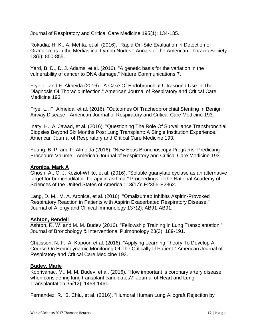Journal of Respiratory and Critical Care Medicine 195(1): 134-135.

Rokadia, H. K., A. Mehta, et al. (2016). "Rapid On-Site Evaluation in Detection of Granulomas in the Mediastinal Lymph Nodes." Annals of the American Thoracic Society 13(6): 850-855.

Yard, B. D., D. J. Adams, et al. (2016). "A genetic basis for the variation in the vulnerability of cancer to DNA damage." Nature Communications 7.

Frye, L. and F. Almeida (2016). "A Case Of Endobronchial Ultrasound Use In The Diagnosis Of Thoracic Infection." American Journal of Respiratory and Critical Care Medicine 193.

Frye, L., F. Almeida, et al. (2016). "Outcomes Of Tracheobronchial Stenting In Benign Airway Disease." American Journal of Respiratory and Critical Care Medicine 193.

Inaty, H., A. Jawad, et al. (2016). "Questioning The Role Of Surveillance Transbronchial Biopsies Beyond Six Months Post Lung Transplant: A Single Institution Experience." American Journal of Respiratory and Critical Care Medicine 193.

Young, B. P. and F. Almeida (2016). "New Ebus Bronchoscopy Programs: Predicting Procedure Volume." American Journal of Respiratory and Critical Care Medicine 193.

# **Aronica, Mark A**

Ghosh, A., C. J. Koziol-White, et al. (2016). "Soluble guanylate cyclase as an alternative target for bronchodilator therapy in asthma." Proceedings of the National Academy of Sciences of the United States of America 113(17): E2355-E2362.

Lang, D. M., M. A. Aronica, et al. (2016). "Omalizumab Inhibits Aspirin-Provoked Respiratory Reaction in Patients with Aspirin Exacerbated Respiratory Disease." Journal of Allergy and Clinical Immunology 137(2): AB91-AB91.

# **Ashton, Rendell**

Ashton, R. W. and M. M. Budev (2016). "Fellowship Training in Lung Transplantation." Journal of Bronchology & Interventional Pulmonology 23(3): 189-191.

Chaisson, N. F., A. Kapoor, et al. (2016). "Applying Learning Theory To Develop A Course On Hemodynamic Monitoring Of The Critically Ill Patient." American Journal of Respiratory and Critical Care Medicine 193.

# **Budev, Marie**

Koprivanac, M., M. M. Budev, et al. (2016). "How important is coronary artery disease when considering lung transplant candidates?" Journal of Heart and Lung Transplantation 35(12): 1453-1461.

Fernandez, R., S. Chiu, et al. (2016). "Humoral Human Lung Allograft Rejection by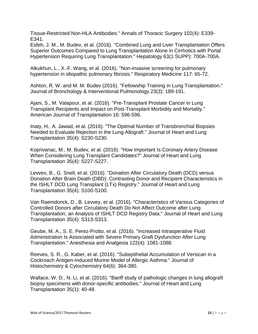Tissue-Restricted Non-HLA Antibodies." Annals of Thoracic Surgery 102(4): E339- E341.

Esfeh, J. M., M. Budev, et al. (2016). "Combined Lung and Liver Transplantation Offers Superior Outcomes Compared to Lung Transplantation Alone in Cirrhotics with Portal Hypertension Requiring Lung Transplantation." Hepatology 63(1 SUPP): 700A-700A.

Alkukhun, L., X.-F. Wang, et al. (2016). "Non-invasive screening for pulmonary hypertension in idiopathic pulmonary fibrosis." Respiratory Medicine 117: 65-72.

Ashton, R. W. and M. M. Budev (2016). "Fellowship Training in Lung Transplantation." Journal of Bronchology & Interventional Pulmonology 23(3): 189-191.

Ajani, S., M. Valapour, et al. (2016). "Pre-Transplant Prostate Cancer in Lung Transplant Recipients and Impact on Post-Transplant Morbidity and Mortality." American Journal of Transplantation 16: 596-596.

Inaty, H., A. Jawad, et al. (2016). "The Optimal Number of Transbronchial Biopsies Needed to Evaluate Rejection in the Lung Allograft." Journal of Heart and Lung Transplantation 35(4): S230-S230.

Koprivanac, M., M. Budev, et al. (2016). "How Important Is Coronary Artery Disease When Considering Lung Transplant Candidates?" Journal of Heart and Lung Transplantation 35(4): S227-S227.

Levvev, B., G. Snell, et al. (2016). "Donation After Circulatory Death (DCD) versus Donation After Brain Death (DBD): Contrasting Donor and Recipient Characteristics in the ISHLT DCD Lung Transplant (LTx) Registry." Journal of Heart and Lung Transplantation 35(4): S100-S100.

Van Raemdonck, D., B. Levvey, et al. (2016). "Characteristics of Various Categories of Controlled Donors after Circulatory Death Do Not Affect Outcome after Lung Transplantation; an Analysis of ISHLT DCD Registry Data." Journal of Heart and Lung Transplantation 35(4): S313-S313.

Geube, M. A., S. E. Perez-Protto, et al. (2016). "Increased Intraoperative Fluid Administration Is Associated with Severe Primary Graft Dysfunction After Lung Transplantation." Anesthesia and Analgesia 122(4): 1081-1088.

Reeves, S. R., G. Kaber, et al. (2016). "Subepithelial Accumulation of Versican in a Cockroach Antigen-Induced Murine Model of Allergic Asthma." Journal of Histochemistry & Cytochemistry 64(6): 364-380.

Wallace, W. D., N. Li, et al. (2016). "Banff study of pathologic changes in lung allograft biopsy specimens with donor-specific antibodies." Journal of Heart and Lung Transplantation 35(1): 40-48.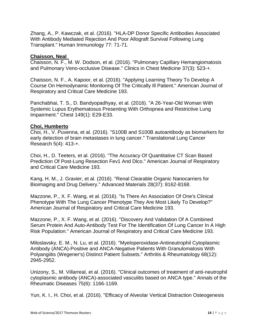Zhang, A., P. Kawczak, et al. (2016). "HLA-DP Donor Specific Antibodies Associated With Antibody Mediated Rejection And Poor Allograft Survival Following Lung Transplant." Human Immunology 77: 71-71.

# **Chaisson, Neal**

Chaisson, N. F., M. W. Dodson, et al. (2016). "Pulmonary Capillary Hemangiomatosis and Pulmonary Veno-occlusive Disease." Clinics in Chest Medicine 37(3): 523-+.

Chaisson, N. F., A. Kapoor, et al. (2016). "Applying Learning Theory To Develop A Course On Hemodynamic Monitoring Of The Critically Ill Patient." American Journal of Respiratory and Critical Care Medicine 193.

Panchabhai, T. S., D. Bandyopadhyay, et al. (2016). "A 26-Year-Old Woman With Systemic Lupus Erythematosus Presenting With Orthopnea and Restrictive Lung Impairment." Chest 149(1): E29-E33.

# **Choi, Humberto**

Choi, H., V. Puvenna, et al. (2016). "S100B and S100B autoantibody as biomarkers for early detection of brain metastases in lung cancer." Translational Lung Cancer Research 5(4): 413-+.

Choi, H., D. Teeters, et al. (2016). "The Accuracy Of Quantitative CT Scan Based Prediction Of Post-Lung Resection Fev1 And Dlco." American Journal of Respiratory and Critical Care Medicine 193.

Kang, H. M., J. Gravier, et al. (2016). "Renal Clearable Organic Nanocarriers for Bioimaging and Drug Delivery." Advanced Materials 28(37): 8162-8168.

Mazzone, P., X. F. Wang, et al. (2016). "Is There An Association Of One's Clinical Phenotype With The Lung Cancer Phenotype They Are Most Likely To Develop?" American Journal of Respiratory and Critical Care Medicine 193.

Mazzone, P., X. F. Wang, et al. (2016). "Discovery And Validation Of A Combined Serum Protein And Auto-Antibody Test For The Identification Of Lung Cancer In A High Risk Population." American Journal of Respiratory and Critical Care Medicine 193.

Miloslavsky, E. M., N. Lu, et al. (2016). "Myeloperoxidase-Antineutrophil Cytoplasmic Antibody (ANCA)-Positive and ANCA-Negative Patients With Granulomatosis With Polyangiitis (Wegener's) Distinct Patient Subsets." Arthritis & Rheumatology 68(12): 2945-2952.

Unizony, S., M. Villarreal, et al. (2016). "Clinical outcomes of treatment of anti-neutrophil cytoplasmic antibody (ANCA)-associated vasculitis based on ANCA type." Annals of the Rheumatic Diseases 75(6): 1166-1169.

Yun, K. I., H. Choi, et al. (2016). "Efficacy of Alveolar Vertical Distraction Osteogenesis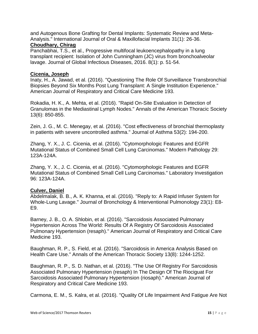and Autogenous Bone Grafting for Dental Implants: Systematic Review and Meta-Analysis." International Journal of Oral & Maxillofacial Implants 31(1): 26-36.

# **Choudhary, Chirag**

Panchabhai, T.S., et al., Progressive multifocal leukoencephalopathy in a lung transplant recipient: Isolation of John Cunningham (JC) virus from bronchoalveolar lavage. Journal of Global Infectious Diseases, 2016. 8(1): p. 51-54.

# **Cicenia, Joseph**

Inaty, H., A. Jawad, et al. (2016). "Questioning The Role Of Surveillance Transbronchial Biopsies Beyond Six Months Post Lung Transplant: A Single Institution Experience." American Journal of Respiratory and Critical Care Medicine 193.

Rokadia, H. K., A. Mehta, et al. (2016). "Rapid On-Site Evaluation in Detection of Granulomas in the Mediastinal Lymph Nodes." Annals of the American Thoracic Society 13(6): 850-855.

Zein, J. G., M. C. Menegay, et al. (2016). "Cost effectiveness of bronchial thermoplasty in patients with severe uncontrolled asthma." Journal of Asthma 53(2): 194-200.

Zhang, Y. X., J. C. Cicenia, et al. (2016). "Cytomorphologic Features and EGFR Mutational Status of Combined Small Cell Lung Carcinomas." Modern Pathology 29: 123A-124A.

Zhang, Y. X., J. C. Cicenia, et al. (2016). "Cytomorphologic Features and EGFR Mutational Status of Combined Small Cell Lung Carcinomas." Laboratory Investigation 96: 123A-124A.

# **Culver, Daniel**

Abdelmalak, B. B., A. K. Khanna, et al. (2016). "Reply to: A Rapid Infuser System for Whole-Lung Lavage." Journal of Bronchology & Interventional Pulmonology 23(1): E8- E9.

Barney, J. B., O. A. Shlobin, et al. (2016). "Sarcoidosis Associated Pulmonary Hypertension Across The World: Results Of A Registry Of Sarcoidosis Associated Pulmonary Hypertension (resaph)." American Journal of Respiratory and Critical Care Medicine 193.

Baughman, R. P., S. Field, et al. (2016). "Sarcoidosis in America Analysis Based on Health Care Use." Annals of the American Thoracic Society 13(8): 1244-1252.

Baughman, R. P., S. D. Nathan, et al. (2016). "The Use Of Registry For Sarcoidosis Associated Pulmonary Hypertension (resaph) In The Design Of The Riociguat For Sarcoidosis Associated Pulmonary Hypertension (riosaph)." American Journal of Respiratory and Critical Care Medicine 193.

Carmona, E. M., S. Kalra, et al. (2016). "Quality Of Life Impairment And Fatigue Are Not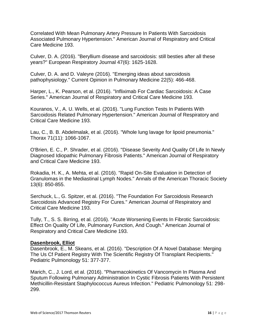Correlated With Mean Pulmonary Artery Pressure In Patients With Sarcoidosis Associated Pulmonary Hypertension." American Journal of Respiratory and Critical Care Medicine 193.

Culver, D. A. (2016). "Beryllium disease and sarcoidosis: still besties after all these years?" European Respiratory Journal 47(6): 1625-1628.

Culver, D. A. and D. Valeyre (2016). "Emerging ideas about sarcoidosis pathophysiology." Current Opinion in Pulmonary Medicine 22(5): 466-468.

Harper, L., K. Pearson, et al. (2016). "Infliximab For Cardiac Sarcoidosis: A Case Series." American Journal of Respiratory and Critical Care Medicine 193.

Kouranos, V., A. U. Wells, et al. (2016). "Lung Function Tests In Patients With Sarcoidosis Related Pulmonary Hypertension." American Journal of Respiratory and Critical Care Medicine 193.

Lau, C., B. B. Abdelmalak, et al. (2016). "Whole lung lavage for lipoid pneumonia." Thorax 71(11): 1066-1067.

O'Brien, E. C., P. Shrader, et al. (2016). "Disease Severity And Quality Of Life In Newly Diagnosed Idiopathic Pulmonary Fibrosis Patients." American Journal of Respiratory and Critical Care Medicine 193.

Rokadia, H. K., A. Mehta, et al. (2016). "Rapid On-Site Evaluation in Detection of Granulomas in the Mediastinal Lymph Nodes." Annals of the American Thoracic Society 13(6): 850-855.

Serchuck, L., G. Spitzer, et al. (2016). "The Foundation For Sarcoidosis Research Sarcoidosis Advanced Registry For Cures." American Journal of Respiratory and Critical Care Medicine 193.

Tully, T., S. S. Birring, et al. (2016). "Acute Worsening Events In Fibrotic Sarcoidosis: Effect On Quality Of Life, Pulmonary Function, And Cough." American Journal of Respiratory and Critical Care Medicine 193.

# **Dasenbrook, Elliot**

Dasenbrook, E., M. Skeans, et al. (2016). "Description Of A Novel Database: Merging The Us Cf Patient Registry With The Scientific Registry Of Transplant Recipients." Pediatric Pulmonology 51: 377-377.

Marich, C., J. Lord, et al. (2016). "Pharmacokinetics Of Vancomycin In Plasma And Sputum Following Pulmonary Administration In Cystic Fibrosis Patients With Persistent Methicillin-Resistant Staphylococcus Aureus Infection." Pediatric Pulmonology 51: 298- 299.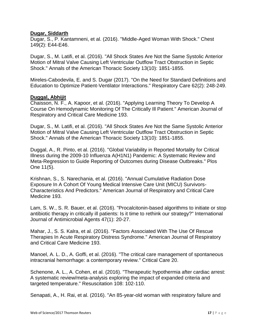# **Dugar, Siddarth**

Dugar, S., P. Kantamneni, et al. (2016). "Middle-Aged Woman With Shock." Chest 149(2): E44-E46.

Dugar, S., M. Latifi, et al. (2016). "All Shock States Are Not the Same Systolic Anterior Motion of Mitral Valve Causing Left Ventricular Outflow Tract Obstruction in Septic Shock." Annals of the American Thoracic Society 13(10): 1851-1855.

Mireles-Cabodevila, E. and S. Dugar (2017). "On the Need for Standard Definitions and Education to Optimize Patient-Ventilator Interactions." Respiratory Care 62(2): 248-249.

# **Duggal, Abhijit**

Chaisson, N. F., A. Kapoor, et al. (2016). "Applying Learning Theory To Develop A Course On Hemodynamic Monitoring Of The Critically Ill Patient." American Journal of Respiratory and Critical Care Medicine 193.

Dugar, S., M. Latifi, et al. (2016). "All Shock States Are Not the Same Systolic Anterior Motion of Mitral Valve Causing Left Ventricular Outflow Tract Obstruction in Septic Shock." Annals of the American Thoracic Society 13(10): 1851-1855.

Duggal, A., R. Pinto, et al. (2016). "Global Variability in Reported Mortality for Critical Illness during the 2009-10 Influenza A(H1N1) Pandemic: A Systematic Review and Meta-Regression to Guide Reporting of Outcomes during Disease Outbreaks." Plos One 11(5).

Krishnan, S., S. Narechania, et al. (2016). "Annual Cumulative Radiation Dose Exposure In A Cohort Of Young Medical Intensive Care Unit (MICU) Survivors-Characteristics And Predictors." American Journal of Respiratory and Critical Care Medicine 193.

Lam, S. W., S. R. Bauer, et al. (2016). "Procalcitonin-based algorithms to initiate or stop antibiotic therapy in critically ill patients: Is it time to rethink our strategy?" International Journal of Antimicrobial Agents 47(1): 20-27.

Mahar, J., S. S. Kalra, et al. (2016). "Factors Associated With The Use Of Rescue Therapies In Acute Respiratory Distress Syndrome." American Journal of Respiratory and Critical Care Medicine 193.

Manoel, A. L. D., A. Goffi, et al. (2016). "The critical care management of spontaneous intracranial hemorrhage: a contemporary review." Critical Care 20.

Schenone, A. L., A. Cohen, et al. (2016). "Therapeutic hypothermia after cardiac arrest: A systematic review/meta-analysis exploring the impact of expanded criteria and targeted temperature." Resuscitation 108: 102-110.

Senapati, A., H. Rai, et al. (2016). "An 85-year-old woman with respiratory failure and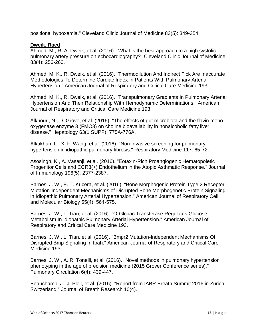positional hypoxemia." Cleveland Clinic Journal of Medicine 83(5): 349-354.

# **Dweik, Raed**

Ahmed, M., R. A. Dweik, et al. (2016). "What is the best approach to a high systolic pulmonary artery pressure on echocardiography?" Cleveland Clinic Journal of Medicine 83(4): 256-260.

Ahmed, M. K., R. Dweik, et al. (2016). "Thermodilution And Indirect Fick Are Inaccurate Methodologies To Determine Cardiac Index In Patients With Pulmonary Arterial Hypertension." American Journal of Respiratory and Critical Care Medicine 193.

Ahmed, M. K., R. Dweik, et al. (2016). "Transpulmonary Gradients In Pulmonary Arterial Hypertension And Their Relationship With Hemodynamic Determinations." American Journal of Respiratory and Critical Care Medicine 193.

Alkhouri, N., D. Grove, et al. (2016). "The effects of gut microbiota and the flavin monooxygenase enzyme 3 (FMO3) on choline bioavailability in nonalcoholic fatty liver disease." Hepatology 63(1 SUPP): 775A-776A.

Alkukhun, L., X. F. Wang, et al. (2016). "Non-invasive screening for pulmonary hypertension in idiopathic pulmonary fibrosis." Respiratory Medicine 117: 65-72.

Asosingh, K., A. Vasanji, et al. (2016). "Eotaxin-Rich Proangiogenic Hematopoietic Progenitor Cells and CCR3(+) Endothelium in the Atopic Asthmatic Response." Journal of Immunology 196(5): 2377-2387.

Barnes, J. W., E. T. Kucera, et al. (2016). "Bone Morphogenic Protein Type 2 Receptor Mutation-Independent Mechanisms of Disrupted Bone Morphogenetic Protein Signaling in Idiopathic Pulmonary Arterial Hypertension." American Journal of Respiratory Cell and Molecular Biology 55(4): 564-575.

Barnes, J. W., L. Tian, et al. (2016). "O-Glcnac Transferase Regulates Glucose Metabolism In Idiopathic Pulmonary Arterial Hypertension." American Journal of Respiratory and Critical Care Medicine 193.

Barnes, J. W., L. Tian, et al. (2016). "Bmpr2 Mutation-Independent Mechanisms Of Disrupted Bmp Signaling In Ipah." American Journal of Respiratory and Critical Care Medicine 193.

Barnes, J. W., A. R. Tonelli, et al. (2016). "Novel methods in pulmonary hypertension phenotyping in the age of precision medicine (2015 Grover Conference series)." Pulmonary Circulation 6(4): 439-447.

Beauchamp, J., J. Pleil, et al. (2016). "Report from IABR Breath Summit 2016 in Zurich, Switzerland." Journal of Breath Research 10(4).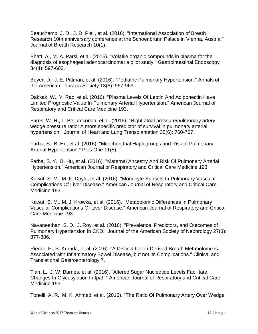Beauchamp, J. D., J. D. Pleil, et al. (2016). "International Association of Breath Research 10th anniversary conference at the Schoenbrunn Palace in Vienna, Austria." Journal of Breath Research 10(1).

Bhatt, A., M. A. Parsi, et al. (2016). "Volatile organic compounds in plasma for the diagnosis of esophageal adenocarcinoma: a pilot study." Gastrointestinal Endoscopy 84(4): 597-603.

Boyer, D., J. E. Pittman, et al. (2016). "Pediatric Pulmonary Hypertension." Annals of the American Thoracic Society 13(6): 967-969.

Dakkak, W., Y. Rao, et al. (2016). "Plasma Levels Of Leptin And Adiponectin Have Limited Prognostic Value In Pulmonary Arterial Hypertension." American Journal of Respiratory and Critical Care Medicine 193.

Fares, W. H., L. Bellumkonda, et al. (2016). "Right atrial pressure/pulmonary artery wedge pressure ratio: A more specific predictor of survival in pulmonary arterial hypertension." Journal of Heart and Lung Transplantation 35(6): 760-767.

Farha, S., B. Hu, et al. (2016). "Mitochondrial Haplogroups and Risk of Pulmonary Arterial Hypertension." Plos One 11(5).

Farha, S. Y., B. Hu, et al. (2016). "Maternal Ancestry And Risk Of Pulmonary Arterial Hypertension." American Journal of Respiratory and Critical Care Medicine 193.

Kawut, S. M., M. F. Doyle, et al. (2016). "Monocyte Subsets In Pulmonary Vascular Complications Of Liver Disease." American Journal of Respiratory and Critical Care Medicine 193.

Kawut, S. M., M. J. Krowka, et al. (2016). "Metabolomic Differences In Pulmonary Vascular Complications Of Liver Disease." American Journal of Respiratory and Critical Care Medicine 193.

Navaneethan, S. D., J. Roy, et al. (2016). "Prevalence, Predictors, and Outcomes of Pulmonary Hypertension in CKD." Journal of the American Society of Nephrology 27(3): 877-886.

Rieder, F., S. Kurada, et al. (2016). "A Distinct Colon-Derived Breath Metabolome is Associated with Inflammatory Bowel Disease, but not its Complications." Clinical and Translational Gastroenterology 7.

Tian, L., J. W. Barnes, et al. (2016). "Altered Sugar Nucleotide Levels Facilitate Changes In Glycosylation In Ipah." American Journal of Respiratory and Critical Care Medicine 193.

Tonelli, A. R., M. K. Ahmed, et al. (2016). "The Ratio Of Pulmonary Artery Over Wedge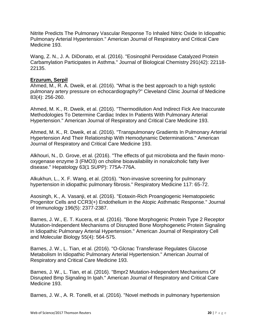Nitrite Predicts The Pulmonary Vascular Response To Inhaled Nitric Oxide In Idiopathic Pulmonary Arterial Hypertension." American Journal of Respiratory and Critical Care Medicine 193.

Wang, Z. N., J. A. DiDonato, et al. (2016). "Eosinophil Peroxidase Catalyzed Protein Carbamylation Participates in Asthma." Journal of Biological Chemistry 291(42): 22118- 22135.

# **Erzurum, Serpil**

Ahmed, M., R. A. Dweik, et al. (2016). "What is the best approach to a high systolic pulmonary artery pressure on echocardiography?" Cleveland Clinic Journal of Medicine 83(4): 256-260.

Ahmed, M. K., R. Dweik, et al. (2016). "Thermodilution And Indirect Fick Are Inaccurate Methodologies To Determine Cardiac Index In Patients With Pulmonary Arterial Hypertension." American Journal of Respiratory and Critical Care Medicine 193.

Ahmed, M. K., R. Dweik, et al. (2016). "Transpulmonary Gradients In Pulmonary Arterial Hypertension And Their Relationship With Hemodynamic Determinations." American Journal of Respiratory and Critical Care Medicine 193.

Alkhouri, N., D. Grove, et al. (2016). "The effects of gut microbiota and the flavin monooxygenase enzyme 3 (FMO3) on choline bioavailability in nonalcoholic fatty liver disease." Hepatology 63(1 SUPP): 775A-776A.

Alkukhun, L., X. F. Wang, et al. (2016). "Non-invasive screening for pulmonary hypertension in idiopathic pulmonary fibrosis." Respiratory Medicine 117: 65-72.

Asosingh, K., A. Vasanji, et al. (2016). "Eotaxin-Rich Proangiogenic Hematopoietic Progenitor Cells and CCR3(+) Endothelium in the Atopic Asthmatic Response." Journal of Immunology 196(5): 2377-2387.

Barnes, J. W., E. T. Kucera, et al. (2016). "Bone Morphogenic Protein Type 2 Receptor Mutation-Independent Mechanisms of Disrupted Bone Morphogenetic Protein Signaling in Idiopathic Pulmonary Arterial Hypertension." American Journal of Respiratory Cell and Molecular Biology 55(4): 564-575.

Barnes, J. W., L. Tian, et al. (2016). "O-Glcnac Transferase Regulates Glucose Metabolism In Idiopathic Pulmonary Arterial Hypertension." American Journal of Respiratory and Critical Care Medicine 193.

Barnes, J. W., L. Tian, et al. (2016). "Bmpr2 Mutation-Independent Mechanisms Of Disrupted Bmp Signaling In Ipah." American Journal of Respiratory and Critical Care Medicine 193.

Barnes, J. W., A. R. Tonelli, et al. (2016). "Novel methods in pulmonary hypertension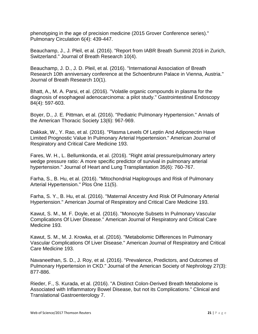phenotyping in the age of precision medicine (2015 Grover Conference series)." Pulmonary Circulation 6(4): 439-447.

Beauchamp, J., J. Pleil, et al. (2016). "Report from IABR Breath Summit 2016 in Zurich, Switzerland." Journal of Breath Research 10(4).

Beauchamp, J. D., J. D. Pleil, et al. (2016). "International Association of Breath Research 10th anniversary conference at the Schoenbrunn Palace in Vienna, Austria." Journal of Breath Research 10(1).

Bhatt, A., M. A. Parsi, et al. (2016). "Volatile organic compounds in plasma for the diagnosis of esophageal adenocarcinoma: a pilot study." Gastrointestinal Endoscopy 84(4): 597-603.

Boyer, D., J. E. Pittman, et al. (2016). "Pediatric Pulmonary Hypertension." Annals of the American Thoracic Society 13(6): 967-969.

Dakkak, W., Y. Rao, et al. (2016). "Plasma Levels Of Leptin And Adiponectin Have Limited Prognostic Value In Pulmonary Arterial Hypertension." American Journal of Respiratory and Critical Care Medicine 193.

Fares, W. H., L. Bellumkonda, et al. (2016). "Right atrial pressure/pulmonary artery wedge pressure ratio: A more specific predictor of survival in pulmonary arterial hypertension." Journal of Heart and Lung Transplantation 35(6): 760-767.

Farha, S., B. Hu, et al. (2016). "Mitochondrial Haplogroups and Risk of Pulmonary Arterial Hypertension." Plos One 11(5).

Farha, S. Y., B. Hu, et al. (2016). "Maternal Ancestry And Risk Of Pulmonary Arterial Hypertension." American Journal of Respiratory and Critical Care Medicine 193.

Kawut, S. M., M. F. Doyle, et al. (2016). "Monocyte Subsets In Pulmonary Vascular Complications Of Liver Disease." American Journal of Respiratory and Critical Care Medicine 193.

Kawut, S. M., M. J. Krowka, et al. (2016). "Metabolomic Differences In Pulmonary Vascular Complications Of Liver Disease." American Journal of Respiratory and Critical Care Medicine 193.

Navaneethan, S. D., J. Roy, et al. (2016). "Prevalence, Predictors, and Outcomes of Pulmonary Hypertension in CKD." Journal of the American Society of Nephrology 27(3): 877-886.

Rieder, F., S. Kurada, et al. (2016). "A Distinct Colon-Derived Breath Metabolome is Associated with Inflammatory Bowel Disease, but not its Complications." Clinical and Translational Gastroenterology 7.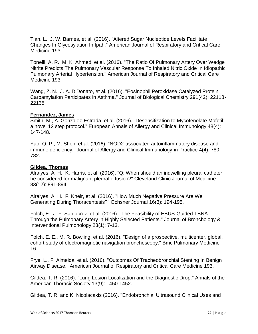Tian, L., J. W. Barnes, et al. (2016). "Altered Sugar Nucleotide Levels Facilitate Changes In Glycosylation In Ipah." American Journal of Respiratory and Critical Care Medicine 193.

Tonelli, A. R., M. K. Ahmed, et al. (2016). "The Ratio Of Pulmonary Artery Over Wedge Nitrite Predicts The Pulmonary Vascular Response To Inhaled Nitric Oxide In Idiopathic Pulmonary Arterial Hypertension." American Journal of Respiratory and Critical Care Medicine 193.

Wang, Z. N., J. A. DiDonato, et al. (2016). "Eosinophil Peroxidase Catalyzed Protein Carbamylation Participates in Asthma." Journal of Biological Chemistry 291(42): 22118- 22135.

# **Fernandez, James**

Smith, M., A. Gonzalez-Estrada, et al. (2016). "Desensitization to Mycofenolate Mofetil: a novel 12 step protocol." European Annals of Allergy and Clinical Immunology 48(4): 147-148.

Yao, Q. P., M. Shen, et al. (2016). "NOD2-associated autoinflammatory disease and immune deficiency." Journal of Allergy and Clinical Immunology-in Practice 4(4): 780- 782.

# **Gildea, Thomas**

Alraiyes, A. H., K. Harris, et al. (2016). "Q: When should an indwelling pleural catheter be considered for malignant pleural effusion?" Cleveland Clinic Journal of Medicine 83(12): 891-894.

Alraiyes, A. H., F. Kheir, et al. (2016). "How Much Negative Pressure Are We Generating During Thoracentesis?" Ochsner Journal 16(3): 194-195.

Folch, E., J. F. Santacruz, et al. (2016). "The Feasibility of EBUS-Guided TBNA Through the Pulmonary Artery in Highly Selected Patients." Journal of Bronchology & Interventional Pulmonology 23(1): 7-13.

Folch, E. E., M. R. Bowling, et al. (2016). "Design of a prospective, multicenter, global, cohort study of electromagnetic navigation bronchoscopy." Bmc Pulmonary Medicine 16.

Frye, L., F. Almeida, et al. (2016). "Outcomes Of Tracheobronchial Stenting In Benign Airway Disease." American Journal of Respiratory and Critical Care Medicine 193.

Gildea, T. R. (2016). "Lung Lesion Localization and the Diagnostic Drop." Annals of the American Thoracic Society 13(9): 1450-1452.

Gildea, T. R. and K. Nicolacakis (2016). "Endobronchial Ultrasound Clinical Uses and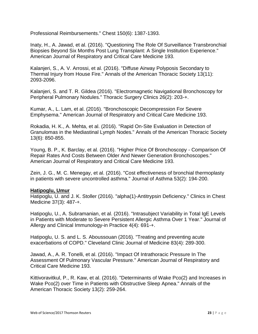Professional Reimbursements." Chest 150(6): 1387-1393.

Inaty, H., A. Jawad, et al. (2016). "Questioning The Role Of Surveillance Transbronchial Biopsies Beyond Six Months Post Lung Transplant: A Single Institution Experience." American Journal of Respiratory and Critical Care Medicine 193.

Kalanjeri, S., A. V. Arrossi, et al. (2016). "Diffuse Airway Polyposis Secondary to Thermal Injury from House Fire." Annals of the American Thoracic Society 13(11): 2093-2096.

Kalanjeri, S. and T. R. Gildea (2016). "Electromagnetic Navigational Bronchoscopy for Peripheral Pulmonary Nodules." Thoracic Surgery Clinics 26(2): 203-+.

Kumar, A., L. Lam, et al. (2016). "Bronchoscopic Decompression For Severe Emphysema." American Journal of Respiratory and Critical Care Medicine 193.

Rokadia, H. K., A. Mehta, et al. (2016). "Rapid On-Site Evaluation in Detection of Granulomas in the Mediastinal Lymph Nodes." Annals of the American Thoracic Society 13(6): 850-855.

Young, B. P., K. Barclay, et al. (2016). "Higher Price Of Bronchoscopy - Comparison Of Repair Rates And Costs Between Older And Newer Generation Bronchoscopes." American Journal of Respiratory and Critical Care Medicine 193.

Zein, J. G., M. C. Menegay, et al. (2016). "Cost effectiveness of bronchial thermoplasty in patients with severe uncontrolled asthma." Journal of Asthma 53(2): 194-200.

# **Hatipoglu, Umur**

Hatipoglu, U. and J. K. Stoller (2016). "alpha(1)-Antitrypsin Deficiency." Clinics in Chest Medicine 37(3): 487-+.

Hatipoglu, U., A. Subramanian, et al. (2016). "Intrasubject Variability in Total IgE Levels in Patients with Moderate to Severe Persistent Allergic Asthma Over 1 Year." Journal of Allergy and Clinical Immunology-in Practice 4(4): 691-+.

Hatipoglu, U. S. and L. S. Aboussouan (2016). "Treating and preventing acute exacerbations of COPD." Cleveland Clinic Journal of Medicine 83(4): 289-300.

Jawad, A., A. R. Tonelli, et al. (2016). "Impact Of Intrathoracic Pressure In The Assessment Of Pulmonary Vascular Pressure." American Journal of Respiratory and Critical Care Medicine 193.

Kittivoravitkul, P., R. Kaw, et al. (2016). "Determinants of Wake Pco(2) and Increases in Wake Pco(2) over Time in Patients with Obstructive Sleep Apnea." Annals of the American Thoracic Society 13(2): 259-264.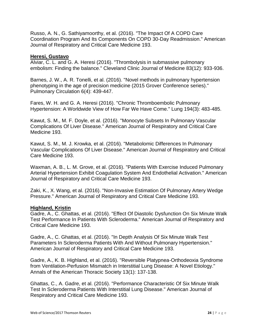Russo, A. N., G. Sathiyamoorthy, et al. (2016). "The Impact Of A COPD Care Coordination Program And Its Components On COPD 30-Day Readmission." American Journal of Respiratory and Critical Care Medicine 193.

# **Heresi, Gustavo**

Alviar, C. L. and G. A. Heresi (2016). "Thrombolysis in submassive pulmonary embolism: Finding the balance." Cleveland Clinic Journal of Medicine 83(12): 933-936.

Barnes, J. W., A. R. Tonelli, et al. (2016). "Novel methods in pulmonary hypertension phenotyping in the age of precision medicine (2015 Grover Conference series)." Pulmonary Circulation 6(4): 439-447.

Fares, W. H. and G. A. Heresi (2016). "Chronic Thromboembolic Pulmonary Hypertension: A Worldwide View of How Far We Have Come." Lung 194(3): 483-485.

Kawut, S. M., M. F. Doyle, et al. (2016). "Monocyte Subsets In Pulmonary Vascular Complications Of Liver Disease." American Journal of Respiratory and Critical Care Medicine 193.

Kawut, S. M., M. J. Krowka, et al. (2016). "Metabolomic Differences In Pulmonary Vascular Complications Of Liver Disease." American Journal of Respiratory and Critical Care Medicine 193.

Waxman, A. B., L. M. Grove, et al. (2016). "Patients With Exercise Induced Pulmonary Arterial Hypertension Exhibit Coagulation System And Endothelial Activation." American Journal of Respiratory and Critical Care Medicine 193.

Zaki, K., X. Wang, et al. (2016). "Non-Invasive Estimation Of Pulmonary Artery Wedge Pressure." American Journal of Respiratory and Critical Care Medicine 193.

# **Highland, Kristin**

Gadre, A., C. Ghattas, et al. (2016). "Effect Of Diastolic Dysfunction On Six Minute Walk Test Performance In Patients With Scleroderma." American Journal of Respiratory and Critical Care Medicine 193.

Gadre, A., C. Ghattas, et al. (2016). "In Depth Analysis Of Six Minute Walk Test Parameters In Scleroderma Patients With And Without Pulmonary Hypertension." American Journal of Respiratory and Critical Care Medicine 193.

Gadre, A., K. B. Highland, et al. (2016). "Reversible Platypnea-Orthodeoxia Syndrome from Ventilation-Perfusion Mismatch in Interstitial Lung Disease: A Novel Etiology." Annals of the American Thoracic Society 13(1): 137-138.

Ghattas, C., A. Gadre, et al. (2016). "Performance Characteristic Of Six Minute Walk Test In Scleroderma Patients With Interstitial Lung Disease." American Journal of Respiratory and Critical Care Medicine 193.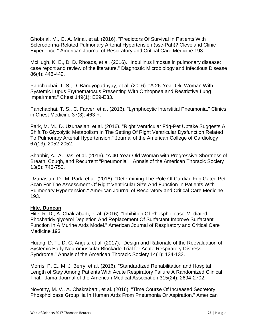Ghobrial, M., O. A. Minai, et al. (2016). "Predictors Of Survival In Patients With Scleroderma-Related Pulmonary Arterial Hypertension (ssc-Pah)? Cleveland Clinic Experience." American Journal of Respiratory and Critical Care Medicine 193.

McHugh, K. E., D. D. Rhoads, et al. (2016). "Inquilinus limosus in pulmonary disease: case report and review of the literature." Diagnostic Microbiology and Infectious Disease 86(4): 446-449.

Panchabhai, T. S., D. Bandyopadhyay, et al. (2016). "A 26-Year-Old Woman With Systemic Lupus Erythematosus Presenting With Orthopnea and Restrictive Lung Impairment." Chest 149(1): E29-E33.

Panchabhai, T. S., C. Farver, et al. (2016). "Lymphocytic Interstitial Pneumonia." Clinics in Chest Medicine 37(3): 463-+.

Park, M. M., D. Uzunaslan, et al. (2016). "Right Ventricular Fdg-Pet Uptake Suggests A Shift To Glycolytic Metabolism In The Setting Of Right Ventricular Dysfunction Related To Pulmonary Arterial Hypertension." Journal of the American College of Cardiology 67(13): 2052-2052.

Shabbir, A., A. Das, et al. (2016). "A 40-Year-Old Woman with Progressive Shortness of Breath, Cough, and Recurrent "Pneumonia"." Annals of the American Thoracic Society 13(5): 746-750.

Uzunaslan, D., M. Park, et al. (2016). "Determining The Role Of Cardiac Fdg Gated Pet Scan For The Assessment Of Right Ventricular Size And Function In Patients With Pulmonary Hypertension." American Journal of Respiratory and Critical Care Medicine 193.

# **Hite, Duncan**

Hite, R. D., A. Chakrabarti, et al. (2016). "Inhibition Of Phospholipase-Mediated Phoshatidylglycerol Depletion And Replacement Of Surfactant Improve Surfactant Function In A Murine Ards Model." American Journal of Respiratory and Critical Care Medicine 193.

Huang, D. T., D. C. Angus, et al. (2017). "Design and Rationale of the Reevaluation of Systemic Early Neuromuscular Blockade Trial for Acute Respiratory Distress Syndrome." Annals of the American Thoracic Society 14(1): 124-133.

Morris, P. E., M. J. Berry, et al. (2016). "Standardized Rehabilitation and Hospital Length of Stay Among Patients With Acute Respiratory Failure A Randomized Clinical Trial." Jama-Journal of the American Medical Association 315(24): 2694-2702.

Novotny, M. V., A. Chakrabarti, et al. (2016). "Time Course Of Increased Secretory Phospholipase Group Iia In Human Ards From Pneumonia Or Aspiration." American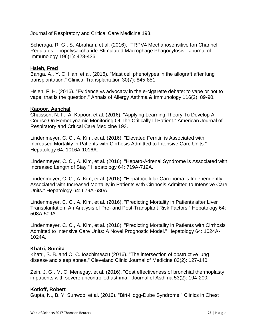Journal of Respiratory and Critical Care Medicine 193.

Scheraga, R. G., S. Abraham, et al. (2016). "TRPV4 Mechanosensitive Ion Channel Regulates Lipopolysaccharide-Stimulated Macrophage Phagocytosis." Journal of Immunology 196(1): 428-436.

# **Hsieh, Fred**

Banga, A., Y. C. Han, et al. (2016). "Mast cell phenotypes in the allograft after lung transplantation." Clinical Transplantation 30(7): 845-851.

Hsieh, F. H. (2016). "Evidence vs advocacy in the e-cigarette debate: to vape or not to vape, that is the question." Annals of Allergy Asthma & Immunology 116(2): 89-90.

# **Kapoor, Aanchal**

Chaisson, N. F., A. Kapoor, et al. (2016). "Applying Learning Theory To Develop A Course On Hemodynamic Monitoring Of The Critically Ill Patient." American Journal of Respiratory and Critical Care Medicine 193.

Lindenmeyer, C. C., A. Kim, et al. (2016). "Elevated Ferritin is Associated with Increased Mortality in Patients with Cirrhosis Admitted to Intensive Care Units." Hepatology 64: 1016A-1016A.

Lindenmeyer, C. C., A. Kim, et al. (2016). "Hepato-Adrenal Syndrome is Associated with Increased Length of Stay." Hepatology 64: 719A-719A.

Lindenmeyer, C. C., A. Kim, et al. (2016). "Hepatocellular Carcinoma is Independently Associated with Increased Mortality in Patients with Cirrhosis Admitted to Intensive Care Units." Hepatology 64: 679A-680A.

Lindenmeyer, C. C., A. Kim, et al. (2016). "Predicting Mortality in Patients after Liver Transplantation: An Analysis of Pre- and Post-Transplant Risk Factors." Hepatology 64: 508A-509A.

Lindenmeyer, C. C., A. Kim, et al. (2016). "Predicting Mortality in Patients with Cirrhosis Admitted to Intensive Care Units: A Novel Prognostic Model." Hepatology 64: 1024A-1024A.

# **Khatri, Sumita**

Khatri, S. B. and O. C. Ioachimescu (2016). "The intersection of obstructive lung disease and sleep apnea." Cleveland Clinic Journal of Medicine 83(2): 127-140.

Zein, J. G., M. C. Menegay, et al. (2016). "Cost effectiveness of bronchial thermoplasty in patients with severe uncontrolled asthma." Journal of Asthma 53(2): 194-200.

# **Kotloff, Robert**

Gupta, N., B. Y. Sunwoo, et al. (2016). "Birt-Hogg-Dube Syndrome." Clinics in Chest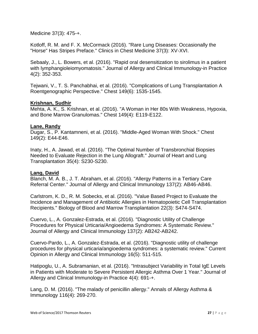Medicine 37(3): 475-+.

Kotloff, R. M. and F. X. McCormack (2016). "Rare Lung Diseases: Occasionally the "Horse" Has Stripes Preface." Clinics in Chest Medicine 37(3): XV-XVI.

Sebaaly, J., L. Bowers, et al. (2016). "Rapid oral desensitization to sirolimus in a patient with lymphangioleiomyomatosis." Journal of Allergy and Clinical Immunology-in Practice 4(2): 352-353.

Tejwani, V., T. S. Panchabhai, et al. (2016). "Complications of Lung Transplantation A Roentgenographic Perspective." Chest 149(6): 1535-1545.

# **Krishnan, Sudhir**

Mehta, A. K., S. Krishnan, et al. (2016). "A Woman in Her 80s With Weakness, Hypoxia, and Bone Marrow Granulomas." Chest 149(4): E119-E122.

# **Lane, Randy**

Dugar, S., P. Kantamneni, et al. (2016). "Middle-Aged Woman With Shock." Chest 149(2): E44-E46.

Inaty, H., A. Jawad, et al. (2016). "The Optimal Number of Transbronchial Biopsies Needed to Evaluate Rejection in the Lung Allograft." Journal of Heart and Lung Transplantation 35(4): S230-S230.

# **Lang, David**

Blanch, M. A. B., J. T. Abraham, et al. (2016). "Allergy Patterns in a Tertiary Care Referral Center." Journal of Allergy and Clinical Immunology 137(2): AB46-AB46.

Carlstrom, K. D., R. M. Sobecks, et al. (2016). "Value Based Project to Evaluate the Incidence and Management of Antibiotic Allergies in Hematopoietic Cell Transplantation Recipients." Biology of Blood and Marrow Transplantation 22(3): S474-S474.

Cuervo, L., A. Gonzalez-Estrada, et al. (2016). "Diagnostic Utility of Challenge Procedures for Physical Urticaria/Angioedema Syndromes: A Systematic Review." Journal of Allergy and Clinical Immunology 137(2): AB242-AB242.

Cuervo-Pardo, L., A. Gonzalez-Estrada, et al. (2016). "Diagnostic utility of challenge procedures for physical urticaria/angioedema syndromes: a systematic review." Current Opinion in Allergy and Clinical Immunology 16(5): 511-515.

Hatipoglu, U., A. Subramanian, et al. (2016). "Intrasubject Variability in Total IgE Levels in Patients with Moderate to Severe Persistent Allergic Asthma Over 1 Year." Journal of Allergy and Clinical Immunology-in Practice 4(4): 691-+.

Lang, D. M. (2016). "The malady of penicillin allergy." Annals of Allergy Asthma & Immunology 116(4): 269-270.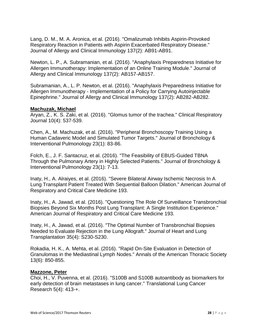Lang, D. M., M. A. Aronica, et al. (2016). "Omalizumab Inhibits Aspirin-Provoked Respiratory Reaction in Patients with Aspirin Exacerbated Respiratory Disease." Journal of Allergy and Clinical Immunology 137(2): AB91-AB91.

Newton, L. P., A. Subramanian, et al. (2016). "Anaphylaxis Preparedness Initiative for Allergen Immunotherapy: Implementation of an Online Training Module." Journal of Allergy and Clinical Immunology 137(2): AB157-AB157.

Subramanian, A., L. P. Newton, et al. (2016). "Anaphylaxis Preparedness Initiative for Allergen Immunotherapy - Implementation of a Policy for Carrying Autoinjectable Epinephrine." Journal of Allergy and Clinical Immunology 137(2): AB282-AB282.

# **Machuzak, Michael**

Aryan, Z., K. S. Zaki, et al. (2016). "Glomus tumor of the trachea." Clinical Respiratory Journal 10(4): 537-539.

Chen, A., M. Machuzak, et al. (2016). "Peripheral Bronchoscopy Training Using a Human Cadaveric Model and Simulated Tumor Targets." Journal of Bronchology & Interventional Pulmonology 23(1): 83-86.

Folch, E., J. F. Santacruz, et al. (2016). "The Feasibility of EBUS-Guided TBNA Through the Pulmonary Artery in Highly Selected Patients." Journal of Bronchology & Interventional Pulmonology 23(1): 7-13.

Inaty, H., A. Alraiyes, et al. (2016). "Severe Bilateral Airway Ischemic Necrosis In A Lung Transplant Patient Treated With Sequential Balloon Dilation." American Journal of Respiratory and Critical Care Medicine 193.

Inaty, H., A. Jawad, et al. (2016). "Questioning The Role Of Surveillance Transbronchial Biopsies Beyond Six Months Post Lung Transplant: A Single Institution Experience." American Journal of Respiratory and Critical Care Medicine 193.

Inaty, H., A. Jawad, et al. (2016). "The Optimal Number of Transbronchial Biopsies Needed to Evaluate Rejection in the Lung Allograft." Journal of Heart and Lung Transplantation 35(4): S230-S230.

Rokadia, H. K., A. Mehta, et al. (2016). "Rapid On-Site Evaluation in Detection of Granulomas in the Mediastinal Lymph Nodes." Annals of the American Thoracic Society 13(6): 850-855.

# **Mazzone, Peter**

Choi, H., V. Puvenna, et al. (2016). "S100B and S100B autoantibody as biomarkers for early detection of brain metastases in lung cancer." Translational Lung Cancer Research 5(4): 413-+.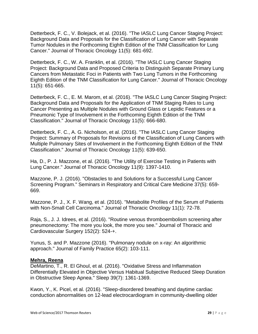Detterbeck, F. C., V. Bolejack, et al. (2016). "The IASLC Lung Cancer Staging Project: Background Data and Proposals for the Classification of Lung Cancer with Separate Tumor Nodules in the Forthcoming Eighth Edition of the TNM Classification for Lung Cancer." Journal of Thoracic Oncology 11(5): 681-692.

Detterbeck, F. C., W. A. Franklin, et al. (2016). "The IASLC Lung Cancer Staging Project: Background Data and Proposed Criteria to Distinguish Separate Primary Lung Cancers from Metastatic Foci in Patients with Two Lung Tumors in the Forthcoming Eighth Edition of the TNM Classification for Lung Cancer." Journal of Thoracic Oncology 11(5): 651-665.

Detterbeck, F. C., E. M. Marom, et al. (2016). "The IASLC Lung Cancer Staging Project: Background Data and Proposals for the Application of TNM Staging Rules to Lung Cancer Presenting as Multiple Nodules with Ground Glass or Lepidic Features or a Pneumonic Type of Involvement in the Forthcoming Eighth Edition of the TNM Classification." Journal of Thoracic Oncology 11(5): 666-680.

Detterbeck, F. C., A. G. Nicholson, et al. (2016). "The IASLC Lung Cancer Staging Project: Summary of Proposals for Revisions of the Classification of Lung Cancers with Multiple Pulmonary Sites of Involvement in the Forthcoming Eighth Edition of the TNM Classification." Journal of Thoracic Oncology 11(5): 639-650.

Ha, D., P. J. Mazzone, et al. (2016). "The Utility of Exercise Testing in Patients with Lung Cancer." Journal of Thoracic Oncology 11(9): 1397-1410.

Mazzone, P. J. (2016). "Obstacles to and Solutions for a Successful Lung Cancer Screening Program." Seminars in Respiratory and Critical Care Medicine 37(5): 659- 669.

Mazzone, P. J., X. F. Wang, et al. (2016). "Metabolite Profiles of the Serum of Patients with Non-Small Cell Carcinoma." Journal of Thoracic Oncology 11(1): 72-78.

Raja, S., J. J. Idrees, et al. (2016). "Routine venous thromboembolism screening after pneumonectomy: The more you look, the more you see." Journal of Thoracic and Cardiovascular Surgery 152(2): 524-+.

Yunus, S. and P. Mazzone (2016). "Pulmonary nodule on x-ray: An algorithmic approach." Journal of Family Practice 65(2): 103-111.

# **Mehra, Reena**

DeMartino, T., R. El Ghoul, et al. (2016). "Oxidative Stress and Inflammation Differentially Elevated in Objective Versus Habitual Subjective Reduced Sleep Duration in Obstructive Sleep Apnea." Sleep 39(7): 1361-1369.

Kwon, Y., K. Picel, et al. (2016). "Sleep-disordered breathing and daytime cardiac conduction abnormalities on 12-lead electrocardiogram in community-dwelling older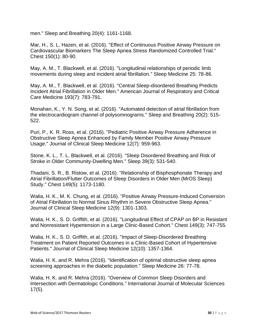men." Sleep and Breathing 20(4): 1161-1168.

Mar, H., S. L. Hazen, et al. (2016). "Effect of Continuous Positive Airway Pressure on Cardiovascular Biomarkers The Sleep Apnea Stress Randomized Controlled Trial." Chest 150(1): 80-90.

May, A. M., T. Blackwell, et al. (2016). "Longitudinal relationships of periodic limb movements during sleep and incident atrial fibrillation." Sleep Medicine 25: 78-86.

May, A. M., T. Blackwell, et al. (2016). "Central Sleep-disordered Breathing Predicts Incident Atrial Fibrillation in Older Men." American Journal of Respiratory and Critical Care Medicine 193(7): 783-791.

Monahan, K., Y. N. Song, et al. (2016). "Automated detection of atrial fibrillation from the electrocardiogram channel of polysomnograms." Sleep and Breathing 20(2): 515- 522.

Puri, P., K. R. Ross, et al. (2016). "Pediatric Positive Airway Pressure Adherence in Obstructive Sleep Apnea Enhanced by Family Member Positive Airway Pressure Usage." Journal of Clinical Sleep Medicine 12(7): 959-963.

Stone, K. L., T. L. Blackwell, et al. (2016). "Sleep Disordered Breathing and Risk of Stroke in Older Community-Dwelling Men." Sleep 39(3): 531-540.

Thadani, S. R., B. Ristow, et al. (2016). "Relationship of Bisphosphonate Therapy and Atrial Fibrillation/Flutter Outcomes of Sleep Disorders in Older Men (MrOS Sleep) Study." Chest 149(5): 1173-1180.

Walia, H. K., M. K. Chung, et al. (2016). "Positive Airway Pressure-Induced Conversion of Atrial Fibrillation to Normal Sinus Rhythm in Severe Obstructive Sleep Apnea." Journal of Clinical Sleep Medicine 12(9): 1301-1303.

Walia, H. K., S. D. Griffith, et al. (2016). "Longitudinal Effect of CPAP on BP in Resistant and Nonresistant Hypertension in a Large Clinic-Based Cohort." Chest 149(3): 747-755.

Walia, H. K., S. D. Griffith, et al. (2016). "Impact of Sleep-Disordered Breathing Treatment on Patient Reported Outcomes in a Clinic-Based Cohort of Hypertensive Patients." Journal of Clinical Sleep Medicine 12(10): 1357-1364.

Walia, H. K. and R. Mehra (2016). "Identification of optimal obstructive sleep apnea screening approaches in the diabetic population." Sleep Medicine 26: 77-78.

Walia, H. K. and R. Mehra (2016). "Overview of Common Sleep Disorders and Intersection with Dermatologic Conditions." International Journal of Molecular Sciences 17(5).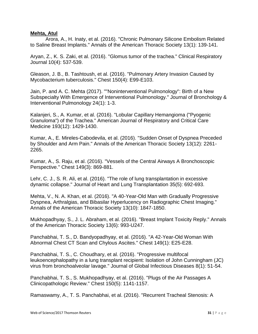# **Mehta, Atul**

Arora, A., H. Inaty, et al. (2016). "Chronic Pulmonary Silicone Embolism Related to Saline Breast Implants." Annals of the American Thoracic Society 13(1): 139-141.

Aryan, Z., K. S. Zaki, et al. (2016). "Glomus tumor of the trachea." Clinical Respiratory Journal 10(4): 537-539.

Gleason, J. B., B. Tashtoush, et al. (2016). "Pulmonary Artery Invasion Caused by Mycobacterium tuberculosis." Chest 150(4): E99-E103.

Jain, P. and A. C. Mehta (2017). ""Noninterventional Pulmonology": Birth of a New Subspecialty With Emergence of Interventional Pulmonology." Journal of Bronchology & Interventional Pulmonology 24(1): 1-3.

Kalanjeri, S., A. Kumar, et al. (2016). "Lobular Capillary Hemangioma ("Pyogenic Granuloma") of the Trachea." American Journal of Respiratory and Critical Care Medicine 193(12): 1429-1430.

Kumar, A., E. Mireles-Cabodevila, et al. (2016). "Sudden Onset of Dyspnea Preceded by Shoulder and Arm Pain." Annals of the American Thoracic Society 13(12): 2261- 2265.

Kumar, A., S. Raju, et al. (2016). "Vessels of the Central Airways A Bronchoscopic Perspective." Chest 149(3): 869-881.

Lehr, C. J., S. R. Ali, et al. (2016). "The role of lung transplantation in excessive dynamic collapse." Journal of Heart and Lung Transplantation 35(5): 692-693.

Mehta, V., N. A. Khan, et al. (2016). "A 40-Year-Old Man with Gradually Progressive Dyspnea, Arthralgias, and Bibasilar Hyperlucency on Radiographic Chest Imaging." Annals of the American Thoracic Society 13(10): 1847-1850.

Mukhopadhyay, S., J. L. Abraham, et al. (2016). "Breast Implant Toxicity Reply." Annals of the American Thoracic Society 13(6): 993-U247.

Panchabhai, T. S., D. Bandyopadhyay, et al. (2016). "A 42-Year-Old Woman With Abnormal Chest CT Scan and Chylous Ascites." Chest 149(1): E25-E28.

Panchabhai, T. S., C. Choudhary, et al. (2016). "Progressive multifocal leukoencephalopathy in a lung transplant recipient: Isolation of John Cunningham (JC) virus from bronchoalveolar lavage." Journal of Global Infectious Diseases 8(1): 51-54.

Panchabhai, T. S., S. Mukhopadhyay, et al. (2016). "Plugs of the Air Passages A Clinicopathologic Review." Chest 150(5): 1141-1157.

Ramaswamy, A., T. S. Panchabhai, et al. (2016). "Recurrent Tracheal Stenosis: A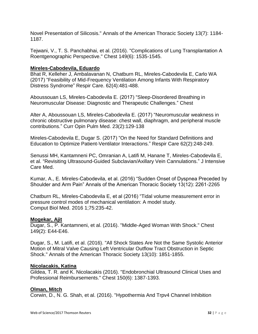Novel Presentation of Silicosis." Annals of the American Thoracic Society 13(7): 1184- 1187.

Tejwani, V., T. S. Panchabhai, et al. (2016). "Complications of Lung Transplantation A Roentgenographic Perspective." Chest 149(6): 1535-1545.

# **Mireles-Cabodevila, Eduardo**

Bhat R, Kelleher J, Ambalavanan N, Chatburn RL, Mireles-Cabodevila E, Carlo WA (2017) ["Feasibility of Mid-Frequency Ventilation Among Infants With Respiratory](https://www.ncbi.nlm.nih.gov/pubmed/28049742)  [Distress Syndrome"](https://www.ncbi.nlm.nih.gov/pubmed/28049742) Respir Care. 62(4):481-488.

Aboussouan LS, Mireles-Cabodevila E. (2017) ["Sleep-Disordered Breathing in](https://www.ncbi.nlm.nih.gov/pubmed/28372949)  [Neuromuscular Disease: Diagnostic and Therapeutic Challenges."](https://www.ncbi.nlm.nih.gov/pubmed/28372949) Chest

Alter A, Aboussouan LS, Mireles-Cabodevila E. (2017) ["Neuromuscular weakness in](https://www.ncbi.nlm.nih.gov/pubmed/28079615)  [chronic obstructive pulmonary disease: chest wall, diaphragm, and peripheral muscle](https://www.ncbi.nlm.nih.gov/pubmed/28079615)  [contributions."](https://www.ncbi.nlm.nih.gov/pubmed/28079615) Curr Opin Pulm Med. 23(2):129-138

Mireles-Cabodevila E, Dugar S. (2017) ["On the Need for Standard Definitions and](https://www.ncbi.nlm.nih.gov/pubmed/28108688)  [Education to Optimize Patient-Ventilator Interactions."](https://www.ncbi.nlm.nih.gov/pubmed/28108688) Respir Care 62(2):248-249.

Senussi MH, Kantamneni PC, Omranian A, Latifi M, Hanane T, Mireles-Cabodevila E, et al. ["Revisiting Ultrasound-Guided Subclavian/Axillary Vein Cannulations."](https://www.ncbi.nlm.nih.gov/pubmed/28359216) J Intensive Care Med.

Kumar, A., E. Mireles-Cabodevila, et al. (2016) "Sudden Onset of Dyspnea Preceded by Shoulder and Arm Pain" Annals of the American Thoracic Society 13(12): 2261-2265

Chatburn RL, Mireles-Cabodevila E, et al (2016) ["Tidal volume measurement error in](https://www.ncbi.nlm.nih.gov/pubmed/27318572)  [pressure control modes of mechanical ventilation: A model study.](https://www.ncbi.nlm.nih.gov/pubmed/27318572) Comput Biol Med. 2016 1;75:235-42.

# **Mogekar, Ajit**

Dugar, S., P. Kantamneni, et al. (2016). "Middle-Aged Woman With Shock." Chest 149(2): E44-E46.

Dugar, S., M. Latifi, et al. (2016). "All Shock States Are Not the Same Systolic Anterior Motion of Mitral Valve Causing Left Ventricular Outflow Tract Obstruction in Septic Shock." Annals of the American Thoracic Society 13(10): 1851-1855.

# **Nicolacakis, Katina**

Gildea, T. R. and K. Nicolacakis (2016). "Endobronchial Ultrasound Clinical Uses and Professional Reimbursements." Chest 150(6): 1387-1393.

# **Olman, Mitch**

Corwin, D., N. G. Shah, et al. (2016). "Hypothermia And Trpv4 Channel Inhibition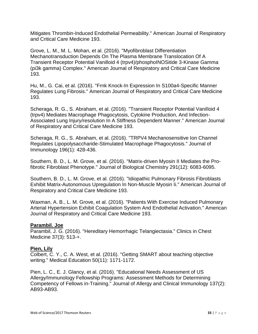Mitigates Thrombin-Induced Endothelial Permeability." American Journal of Respiratory and Critical Care Medicine 193.

Grove, L. M., M. L. Mohan, et al. (2016). "Myofibroblast Differentiation Mechanotransduction Depends On The Plasma Membrane Translocation Of A Transient Receptor Potential Vanilloid 4 (trpv4)/phosphoINOSitide 3-Kinase Gamma (pi3k gamma) Complex." American Journal of Respiratory and Critical Care Medicine 193.

Hu, M., G. Cai, et al. (2016). "Frnk Knock-In Expression In S100a4-Specific Manner Regulates Lung Fibrosis." American Journal of Respiratory and Critical Care Medicine 193.

Scheraga, R. G., S. Abraham, et al. (2016). "Transient Receptor Potential Vanilloid 4 (trpv4) Mediates Macrophage Phagocytosis, Cytokine Production, And Infection-Associated Lung Injury/resolution In A Stiffness Dependent Manner." American Journal of Respiratory and Critical Care Medicine 193.

Scheraga, R. G., S. Abraham, et al. (2016). "TRPV4 Mechanosensitive Ion Channel Regulates Lipopolysaccharide-Stimulated Macrophage Phagocytosis." Journal of Immunology 196(1): 428-436.

Southern, B. D., L. M. Grove, et al. (2016). "Matrix-driven Myosin II Mediates the Profibrotic Fibroblast Phenotype." Journal of Biological Chemistry 291(12): 6083-6095.

Southern, B. D., L. M. Grove, et al. (2016). "Idiopathic Pulmonary Fibrosis Fibroblasts Exhibit Matrix-Autonomous Upregulation In Non-Muscle Myosin Ii." American Journal of Respiratory and Critical Care Medicine 193.

Waxman, A. B., L. M. Grove, et al. (2016). "Patients With Exercise Induced Pulmonary Arterial Hypertension Exhibit Coagulation System And Endothelial Activation." American Journal of Respiratory and Critical Care Medicine 193.

# **Parambil. Joe**

Parambil, J. G. (2016). "Hereditary Hemorrhagic Telangiectasia." Clinics in Chest Medicine 37(3): 513-+.

# **Pien, Lily**

Colbert, C. Y., C. A. West, et al. (2016). "Getting SMART about teaching objective writing." Medical Education 50(11): 1171-1172.

Pien, L. C., E. J. Glancy, et al. (2016). "Educational Needs Assessment of US Allergy/Immunology Fellowship Programs: Assessment Methods for Determining Competency of Fellows in-Training." Journal of Allergy and Clinical Immunology 137(2): AB93-AB93.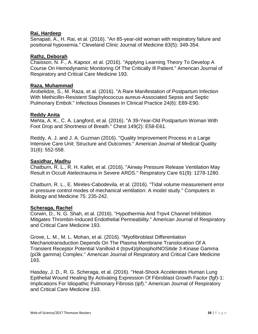# **Rai, Hardeep**

Senapati, A., H. Rai, et al. (2016). "An 85-year-old woman with respiratory failure and positional hypoxemia." Cleveland Clinic Journal of Medicine 83(5): 349-354.

# **Rathz, Deborah**

Chaisson, N. F., A. Kapoor, et al. (2016). "Applying Learning Theory To Develop A Course On Hemodynamic Monitoring Of The Critically Ill Patient." American Journal of Respiratory and Critical Care Medicine 193.

# **Raza, Muhammad**

Arobelidze, S., M. Raza, et al. (2016). "A Rare Manifestation of Postpartum Infection With Methicillin-Resistent Staphylococcus aureus-Associated Sepsis and Septic Pulmonary Emboli." Infectious Diseases in Clinical Practice 24(6): E89-E90.

# **Reddy Anita**

Mehta, A. K., C. A. Langford, et al. (2016). "A 39-Year-Old Postpartum Woman With Foot Drop and Shortness of Breath." Chest 149(2): E58-E61.

Reddy, A. J. and J. A. Guzman (2016). "Quality Improvement Process in a Large Intensive Care Unit: Structure and Outcomes." American Journal of Medical Quality 31(6): 552-558.

# **Sasidhar, Madhu**

Chatburn, R. L., R. H. Kallet, et al. (2016). "Airway Pressure Release Ventilation May Result in Occult Atelectrauma in Severe ARDS." Respiratory Care 61(9): 1278-1280.

Chatburn, R. L., E. Mireles-Cabodevila, et al. (2016). "Tidal volume measurement error in pressure control modes of mechanical ventilation: A model study." Computers in Biology and Medicine 75: 235-242.

# **Scheraga, Rachel**

Corwin, D., N. G. Shah, et al. (2016). "Hypothermia And Trpv4 Channel Inhibition Mitigates Thrombin-Induced Endothelial Permeability." American Journal of Respiratory and Critical Care Medicine 193.

Grove, L. M., M. L. Mohan, et al. (2016). "Myofibroblast Differentiation Mechanotransduction Depends On The Plasma Membrane Translocation Of A Transient Receptor Potential Vanilloid 4 (trpv4)/phosphoINOSitide 3-Kinase Gamma (pi3k gamma) Complex." American Journal of Respiratory and Critical Care Medicine 193.

Hasday, J. D., R. G. Scheraga, et al. (2016). "Heat-Shock Accelerates Human Lung Epithelial Wound Healing By Activating Expression Of Fibroblast Growth Factor (fgf)-1: Implications For Idiopathic Pulmonary Fibrosis (ipf)." American Journal of Respiratory and Critical Care Medicine 193.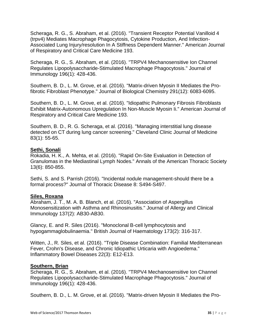Scheraga, R. G., S. Abraham, et al. (2016). "Transient Receptor Potential Vanilloid 4 (trpv4) Mediates Macrophage Phagocytosis, Cytokine Production, And Infection-Associated Lung Injury/resolution In A Stiffness Dependent Manner." American Journal of Respiratory and Critical Care Medicine 193.

Scheraga, R. G., S. Abraham, et al. (2016). "TRPV4 Mechanosensitive Ion Channel Regulates Lipopolysaccharide-Stimulated Macrophage Phagocytosis." Journal of Immunology 196(1): 428-436.

Southern, B. D., L. M. Grove, et al. (2016). "Matrix-driven Myosin II Mediates the Profibrotic Fibroblast Phenotype." Journal of Biological Chemistry 291(12): 6083-6095.

Southern, B. D., L. M. Grove, et al. (2016). "Idiopathic Pulmonary Fibrosis Fibroblasts Exhibit Matrix-Autonomous Upregulation In Non-Muscle Myosin Ii." American Journal of Respiratory and Critical Care Medicine 193.

Southern, B. D., R. G. Scheraga, et al. (2016). "Managing interstitial lung disease detected on CT during lung cancer screening." Cleveland Clinic Journal of Medicine 83(1): 55-65.

# **Sethi, Sonali**

Rokadia, H. K., A. Mehta, et al. (2016). "Rapid On-Site Evaluation in Detection of Granulomas in the Mediastinal Lymph Nodes." Annals of the American Thoracic Society 13(6): 850-855.

Sethi, S. and S. Parrish (2016). "Incidental nodule management-should there be a formal process?" Journal of Thoracic Disease 8: S494-S497.

# **Siles, Roxana**

Abraham, J. T., M. A. B. Blanch, et al. (2016). "Association of Aspergillus Monosensitization with Asthma and Rhinosinusitis." Journal of Allergy and Clinical Immunology 137(2): AB30-AB30.

Glancy, E. and R. Siles (2016). "Monoclonal B-cell lymphocytosis and hypogammaglobulinaemia." British Journal of Haematology 173(2): 316-317.

Witten, J., R. Siles, et al. (2016). "Triple Disease Combination: Familial Mediterranean Fever, Crohn's Disease, and Chronic Idiopathic Urticaria with Angioedema." Inflammatory Bowel Diseases 22(3): E12-E13.

# **Southern, Brian**

Scheraga, R. G., S. Abraham, et al. (2016). "TRPV4 Mechanosensitive Ion Channel Regulates Lipopolysaccharide-Stimulated Macrophage Phagocytosis." Journal of Immunology 196(1): 428-436.

Southern, B. D., L. M. Grove, et al. (2016). "Matrix-driven Myosin II Mediates the Pro-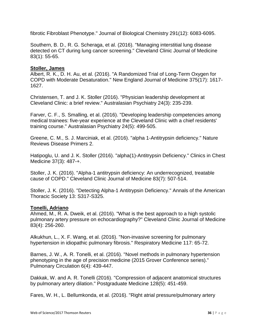fibrotic Fibroblast Phenotype." Journal of Biological Chemistry 291(12): 6083-6095.

Southern, B. D., R. G. Scheraga, et al. (2016). "Managing interstitial lung disease detected on CT during lung cancer screening." Cleveland Clinic Journal of Medicine 83(1): 55-65.

# **Stoller, James**

Albert, R. K., D. H. Au, et al. (2016). "A Randomized Trial of Long-Term Oxygen for COPD with Moderate Desaturation." New England Journal of Medicine 375(17): 1617- 1627.

Christensen, T. and J. K. Stoller (2016). "Physician leadership development at Cleveland Clinic: a brief review." Australasian Psychiatry 24(3): 235-239.

Farver, C. F., S. Smalling, et al. (2016). "Developing leadership competencies among medical trainees: five-year experience at the Cleveland Clinic with a chief residents' training course." Australasian Psychiatry 24(5): 499-505.

Greene, C. M., S. J. Marciniak, et al. (2016). "alpha 1-Antitrypsin deficiency." Nature Reviews Disease Primers 2.

Hatipoglu, U. and J. K. Stoller (2016). "alpha(1)-Antitrypsin Deficiency." Clinics in Chest Medicine 37(3): 487-+.

Stoller, J. K. (2016). "Alpha-1 antitrypsin deficiency: An underrecognized, treatable cause of COPD." Cleveland Clinic Journal of Medicine 83(7): 507-514.

Stoller, J. K. (2016). "Detecting Alpha-1 Antitrypsin Deficiency." Annals of the American Thoracic Society 13: S317-S325.

# **Tonelli, Adriano**

Ahmed, M., R. A. Dweik, et al. (2016). "What is the best approach to a high systolic pulmonary artery pressure on echocardiography?" Cleveland Clinic Journal of Medicine 83(4): 256-260.

Alkukhun, L., X. F. Wang, et al. (2016). "Non-invasive screening for pulmonary hypertension in idiopathic pulmonary fibrosis." Respiratory Medicine 117: 65-72.

Barnes, J. W., A. R. Tonelli, et al. (2016). "Novel methods in pulmonary hypertension phenotyping in the age of precision medicine (2015 Grover Conference series)." Pulmonary Circulation 6(4): 439-447.

Dakkak, W. and A. R. Tonelli (2016). "Compression of adjacent anatomical structures by pulmonary artery dilation." Postgraduate Medicine 128(5): 451-459.

Fares, W. H., L. Bellumkonda, et al. (2016). "Right atrial pressure/pulmonary artery